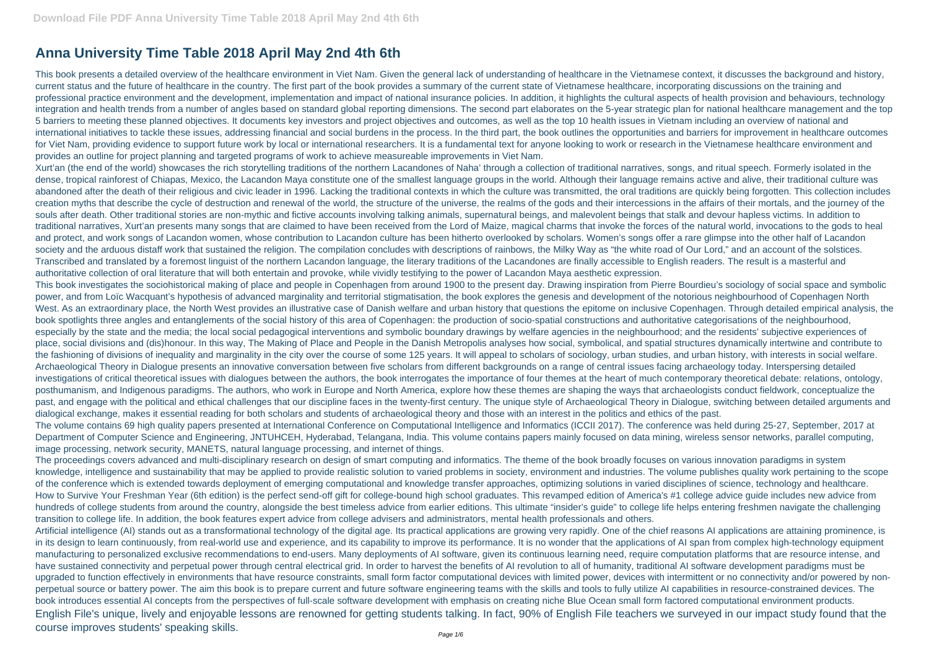## **Anna University Time Table 2018 April May 2nd 4th 6th**

This book presents a detailed overview of the healthcare environment in Viet Nam. Given the general lack of understanding of healthcare in the Vietnamese context, it discusses the background and history, current status and the future of healthcare in the country. The first part of the book provides a summary of the current state of Vietnamese healthcare, incorporating discussions on the training and professional practice environment and the development, implementation and impact of national insurance policies. In addition, it highlights the cultural aspects of health provision and behaviours, technology integration and health trends from a number of angles based on standard global reporting dimensions. The second part elaborates on the 5-year strategic plan for national healthcare management and the top 5 barriers to meeting these planned objectives. It documents key investors and project objectives and outcomes, as well as the top 10 health issues in Vietnam including an overview of national and international initiatives to tackle these issues, addressing financial and social burdens in the process. In the third part, the book outlines the opportunities and barriers for improvement in healthcare outcomes for Viet Nam, providing evidence to support future work by local or international researchers. It is a fundamental text for anyone looking to work or research in the Vietnamese healthcare environment and provides an outline for project planning and targeted programs of work to achieve measureable improvements in Viet Nam.

Xurt'an (the end of the world) showcases the rich storytelling traditions of the northern Lacandones of Naha' through a collection of traditional narratives, songs, and ritual speech. Formerly isolated in the dense, tropical rainforest of Chiapas, Mexico, the Lacandon Maya constitute one of the smallest language groups in the world. Although their language remains active and alive, their traditional culture was abandoned after the death of their religious and civic leader in 1996. Lacking the traditional contexts in which the culture was transmitted, the oral traditions are quickly being forgotten. This collection includes creation myths that describe the cycle of destruction and renewal of the world, the structure of the universe, the realms of the gods and their intercessions in the affairs of their mortals, and the journey of the souls after death. Other traditional stories are non-mythic and fictive accounts involving talking animals, supernatural beings, and malevolent beings that stalk and devour hapless victims. In addition to traditional narratives, Xurt'an presents many songs that are claimed to have been received from the Lord of Maize, magical charms that invoke the forces of the natural world, invocations to the gods to heal and protect, and work songs of Lacandon women, whose contribution to Lacandon culture has been hitherto overlooked by scholars. Women's songs offer a rare glimpse into the other half of Lacandon society and the arduous distaff work that sustained the religion. The compilation concludes with descriptions of rainbows, the Milky Way as "the white road of Our Lord," and an account of the solstices. Transcribed and translated by a foremost linguist of the northern Lacandon language, the literary traditions of the Lacandones are finally accessible to English readers. The result is a masterful and authoritative collection of oral literature that will both entertain and provoke, while vividly testifying to the power of Lacandon Maya aesthetic expression.

This book investigates the sociohistorical making of place and people in Copenhagen from around 1900 to the present day. Drawing inspiration from Pierre Bourdieu's sociology of social space and symbolic power, and from Loïc Wacquant's hypothesis of advanced marginality and territorial stigmatisation, the book explores the genesis and development of the notorious neighbourhood of Copenhagen North West. As an extraordinary place, the North West provides an illustrative case of Danish welfare and urban history that questions the epitome on inclusive Copenhagen. Through detailed empirical analysis, the book spotlights three angles and entanglements of the social history of this area of Copenhagen: the production of socio-spatial constructions and authoritative categorisations of the neighbourhood, especially by the state and the media; the local social pedagogical interventions and symbolic boundary drawings by welfare agencies in the neighbourhood; and the residents' subjective experiences of place, social divisions and (dis)honour. In this way, The Making of Place and People in the Danish Metropolis analyses how social, symbolical, and spatial structures dynamically intertwine and contribute to the fashioning of divisions of inequality and marginality in the city over the course of some 125 years. It will appeal to scholars of sociology, urban studies, and urban history, with interests in social welfare. Archaeological Theory in Dialogue presents an innovative conversation between five scholars from different backgrounds on a range of central issues facing archaeology today. Interspersing detailed investigations of critical theoretical issues with dialogues between the authors, the book interrogates the importance of four themes at the heart of much contemporary theoretical debate: relations, ontology, posthumanism, and Indigenous paradigms. The authors, who work in Europe and North America, explore how these themes are shaping the ways that archaeologists conduct fieldwork, conceptualize the past, and engage with the political and ethical challenges that our discipline faces in the twenty-first century. The unique style of Archaeological Theory in Dialogue, switching between detailed arguments and dialogical exchange, makes it essential reading for both scholars and students of archaeological theory and those with an interest in the politics and ethics of the past. The volume contains 69 high quality papers presented at International Conference on Computational Intelligence and Informatics (ICCII 2017). The conference was held during 25-27, September, 2017 at Department of Computer Science and Engineering, JNTUHCEH, Hyderabad, Telangana, India. This volume contains papers mainly focused on data mining, wireless sensor networks, parallel computing, image processing, network security, MANETS, natural language processing, and internet of things.

The proceedings covers advanced and multi-disciplinary research on design of smart computing and informatics. The theme of the book broadly focuses on various innovation paradigms in system knowledge, intelligence and sustainability that may be applied to provide realistic solution to varied problems in society, environment and industries. The volume publishes quality work pertaining to the scope of the conference which is extended towards deployment of emerging computational and knowledge transfer approaches, optimizing solutions in varied disciplines of science, technology and healthcare. How to Survive Your Freshman Year (6th edition) is the perfect send-off gift for college-bound high school graduates. This revamped edition of America's #1 college advice guide includes new advice from hundreds of college students from around the country, alongside the best timeless advice from earlier editions. This ultimate "insider's guide" to college life helps entering freshmen navigate the challenging transition to college life. In addition, the book features expert advice from college advisers and administrators, mental health professionals and others.

Artificial intelligence (AI) stands out as a transformational technology of the digital age. Its practical applications are growing very rapidly. One of the chief reasons AI applications are attaining prominence, is in its design to learn continuously, from real-world use and experience, and its capability to improve its performance. It is no wonder that the applications of AI span from complex high-technology equipment manufacturing to personalized exclusive recommendations to end-users. Many deployments of AI software, given its continuous learning need, require computation platforms that are resource intense, and have sustained connectivity and perpetual power through central electrical grid. In order to harvest the benefits of AI revolution to all of humanity, traditional AI software development paradigms must be upgraded to function effectively in environments that have resource constraints, small form factor computational devices with limited power, devices with intermittent or no connectivity and/or powered by nonperpetual source or battery power. The aim this book is to prepare current and future software engineering teams with the skills and tools to fully utilize AI capabilities in resource-constrained devices. The book introduces essential AI concepts from the perspectives of full-scale software development with emphasis on creating niche Blue Ocean small form factored computational environment products. English File's unique, lively and enjoyable lessons are renowned for getting students talking. In fact, 90% of English File teachers we surveyed in our impact study found that the course improves students' speaking skills.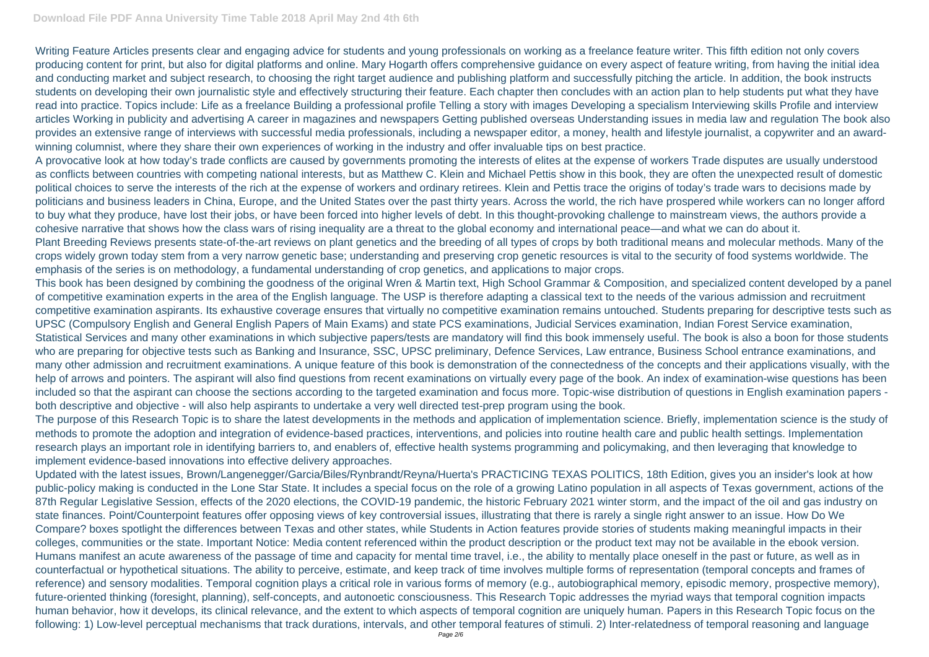## **Download File PDF Anna University Time Table 2018 April May 2nd 4th 6th**

Writing Feature Articles presents clear and engaging advice for students and young professionals on working as a freelance feature writer. This fifth edition not only covers producing content for print, but also for digital platforms and online. Mary Hogarth offers comprehensive guidance on every aspect of feature writing, from having the initial idea and conducting market and subject research, to choosing the right target audience and publishing platform and successfully pitching the article. In addition, the book instructs students on developing their own journalistic style and effectively structuring their feature. Each chapter then concludes with an action plan to help students put what they have read into practice. Topics include: Life as a freelance Building a professional profile Telling a story with images Developing a specialism Interviewing skills Profile and interview articles Working in publicity and advertising A career in magazines and newspapers Getting published overseas Understanding issues in media law and regulation The book also provides an extensive range of interviews with successful media professionals, including a newspaper editor, a money, health and lifestyle journalist, a copywriter and an awardwinning columnist, where they share their own experiences of working in the industry and offer invaluable tips on best practice.

A provocative look at how today's trade conflicts are caused by governments promoting the interests of elites at the expense of workers Trade disputes are usually understood as conflicts between countries with competing national interests, but as Matthew C. Klein and Michael Pettis show in this book, they are often the unexpected result of domestic political choices to serve the interests of the rich at the expense of workers and ordinary retirees. Klein and Pettis trace the origins of today's trade wars to decisions made by politicians and business leaders in China, Europe, and the United States over the past thirty years. Across the world, the rich have prospered while workers can no longer afford to buy what they produce, have lost their jobs, or have been forced into higher levels of debt. In this thought-provoking challenge to mainstream views, the authors provide a cohesive narrative that shows how the class wars of rising inequality are a threat to the global economy and international peace—and what we can do about it. Plant Breeding Reviews presents state-of-the-art reviews on plant genetics and the breeding of all types of crops by both traditional means and molecular methods. Many of the crops widely grown today stem from a very narrow genetic base; understanding and preserving crop genetic resources is vital to the security of food systems worldwide. The emphasis of the series is on methodology, a fundamental understanding of crop genetics, and applications to major crops.

This book has been designed by combining the goodness of the original Wren & Martin text, High School Grammar & Composition, and specialized content developed by a panel of competitive examination experts in the area of the English language. The USP is therefore adapting a classical text to the needs of the various admission and recruitment competitive examination aspirants. Its exhaustive coverage ensures that virtually no competitive examination remains untouched. Students preparing for descriptive tests such as UPSC (Compulsory English and General English Papers of Main Exams) and state PCS examinations, Judicial Services examination, Indian Forest Service examination, Statistical Services and many other examinations in which subjective papers/tests are mandatory will find this book immensely useful. The book is also a boon for those students who are preparing for objective tests such as Banking and Insurance, SSC, UPSC preliminary, Defence Services, Law entrance, Business School entrance examinations, and many other admission and recruitment examinations. A unique feature of this book is demonstration of the connectedness of the concepts and their applications visually, with the help of arrows and pointers. The aspirant will also find questions from recent examinations on virtually every page of the book. An index of examination-wise questions has been included so that the aspirant can choose the sections according to the targeted examination and focus more. Topic-wise distribution of questions in English examination papers both descriptive and objective - will also help aspirants to undertake a very well directed test-prep program using the book.

The purpose of this Research Topic is to share the latest developments in the methods and application of implementation science. Briefly, implementation science is the study of methods to promote the adoption and integration of evidence-based practices, interventions, and policies into routine health care and public health settings. Implementation research plays an important role in identifying barriers to, and enablers of, effective health systems programming and policymaking, and then leveraging that knowledge to implement evidence-based innovations into effective delivery approaches.

Updated with the latest issues, Brown/Langenegger/Garcia/Biles/Rynbrandt/Reyna/Huerta's PRACTICING TEXAS POLITICS, 18th Edition, gives you an insider's look at how public-policy making is conducted in the Lone Star State. It includes a special focus on the role of a growing Latino population in all aspects of Texas government, actions of the 87th Regular Legislative Session, effects of the 2020 elections, the COVID-19 pandemic, the historic February 2021 winter storm, and the impact of the oil and gas industry on state finances. Point/Counterpoint features offer opposing views of key controversial issues, illustrating that there is rarely a single right answer to an issue. How Do We Compare? boxes spotlight the differences between Texas and other states, while Students in Action features provide stories of students making meaningful impacts in their colleges, communities or the state. Important Notice: Media content referenced within the product description or the product text may not be available in the ebook version. Humans manifest an acute awareness of the passage of time and capacity for mental time travel, i.e., the ability to mentally place oneself in the past or future, as well as in counterfactual or hypothetical situations. The ability to perceive, estimate, and keep track of time involves multiple forms of representation (temporal concepts and frames of reference) and sensory modalities. Temporal cognition plays a critical role in various forms of memory (e.g., autobiographical memory, episodic memory, prospective memory), future-oriented thinking (foresight, planning), self-concepts, and autonoetic consciousness. This Research Topic addresses the myriad ways that temporal cognition impacts human behavior, how it develops, its clinical relevance, and the extent to which aspects of temporal cognition are uniquely human. Papers in this Research Topic focus on the following: 1) Low-level perceptual mechanisms that track durations, intervals, and other temporal features of stimuli. 2) Inter-relatedness of temporal reasoning and language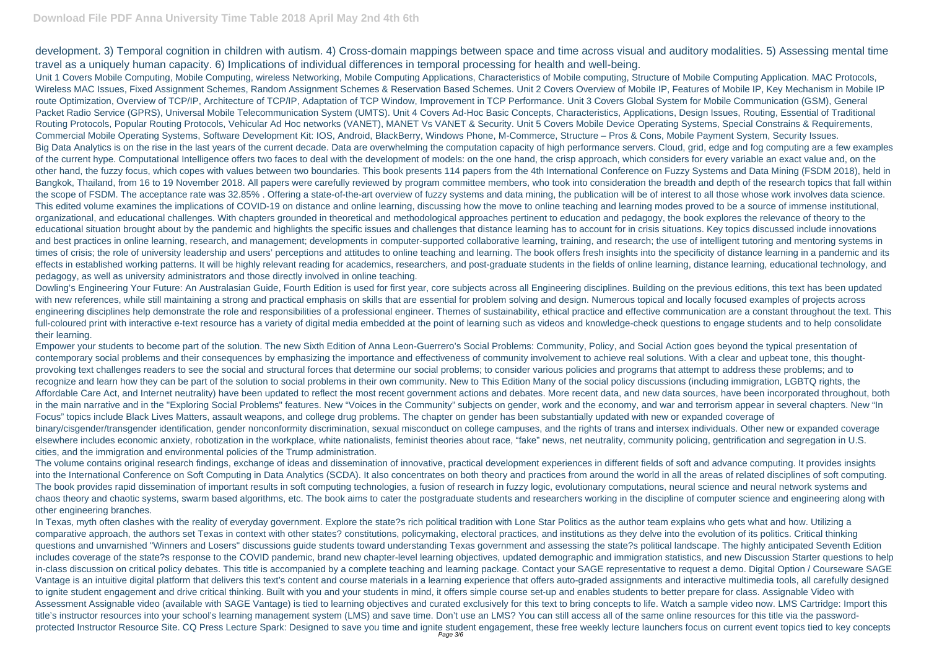development. 3) Temporal cognition in children with autism. 4) Cross-domain mappings between space and time across visual and auditory modalities. 5) Assessing mental time travel as a uniquely human capacity. 6) Implications of individual differences in temporal processing for health and well-being.

Unit 1 Covers Mobile Computing, Mobile Computing, wireless Networking, Mobile Computing Applications, Characteristics of Mobile computing, Structure of Mobile Computing Application. MAC Protocols, Wireless MAC Issues, Fixed Assignment Schemes, Random Assignment Schemes & Reservation Based Schemes. Unit 2 Covers Overview of Mobile IP, Features of Mobile IP, Key Mechanism in Mobile IP route Optimization, Overview of TCP/IP, Architecture of TCP/IP, Adaptation of TCP Window, Improvement in TCP Performance. Unit 3 Covers Global System for Mobile Communication (GSM), General Packet Radio Service (GPRS), Universal Mobile Telecommunication System (UMTS). Unit 4 Covers Ad-Hoc Basic Concepts, Characteristics, Applications, Design Issues, Routing, Essential of Traditional Routing Protocols, Popular Routing Protocols, Vehicular Ad Hoc networks (VANET), MANET Vs VANET & Security. Unit 5 Covers Mobile Device Operating Systems, Special Constrains & Requirements, Commercial Mobile Operating Systems, Software Development Kit: IOS, Android, BlackBerry, Windows Phone, M-Commerce, Structure – Pros & Cons, Mobile Payment System, Security Issues. Big Data Analytics is on the rise in the last years of the current decade. Data are overwhelming the computation capacity of high performance servers. Cloud, grid, edge and fog computing are a few examples of the current hype. Computational Intelligence offers two faces to deal with the development of models: on the one hand, the crisp approach, which considers for every variable an exact value and, on the other hand, the fuzzy focus, which copes with values between two boundaries. This book presents 114 papers from the 4th International Conference on Fuzzy Systems and Data Mining (FSDM 2018), held in Bangkok, Thailand, from 16 to 19 November 2018. All papers were carefully reviewed by program committee members, who took into consideration the breadth and depth of the research topics that fall within the scope of FSDM. The acceptance rate was 32.85% . Offering a state-of-the-art overview of fuzzy systems and data mining, the publication will be of interest to all those whose work involves data science. This edited volume examines the implications of COVID-19 on distance and online learning, discussing how the move to online teaching and learning modes proved to be a source of immense institutional, organizational, and educational challenges. With chapters grounded in theoretical and methodological approaches pertinent to education and pedagogy, the book explores the relevance of theory to the educational situation brought about by the pandemic and highlights the specific issues and challenges that distance learning has to account for in crisis situations. Key topics discussed include innovations and best practices in online learning, research, and management; developments in computer-supported collaborative learning, training, and research; the use of intelligent tutoring and mentoring systems in times of crisis; the role of university leadership and users' perceptions and attitudes to online teaching and learning. The book offers fresh insights into the specificity of distance learning in a pandemic and its effects in established working patterns. It will be highly relevant reading for academics, researchers, and post-graduate students in the fields of online learning, distance learning, educational technology, and pedagogy, as well as university administrators and those directly involved in online teaching.

Dowling's Engineering Your Future: An Australasian Guide, Fourth Edition is used for first year, core subjects across all Engineering disciplines. Building on the previous editions, this text has been updated with new references, while still maintaining a strong and practical emphasis on skills that are essential for problem solving and design. Numerous topical and locally focused examples of projects across engineering disciplines help demonstrate the role and responsibilities of a professional engineer. Themes of sustainability, ethical practice and effective communication are a constant throughout the text. This full-coloured print with interactive e-text resource has a variety of digital media embedded at the point of learning such as videos and knowledge-check questions to engage students and to help consolidate their learning.

In Texas, myth often clashes with the reality of everyday government. Explore the state?s rich political tradition with Lone Star Politics as the author team explains who gets what and how. Utilizing a comparative approach, the authors set Texas in context with other states? constitutions, policymaking, electoral practices, and institutions as they delve into the evolution of its politics. Critical thinking questions and unvarnished "Winners and Losers" discussions guide students toward understanding Texas government and assessing the state?s political landscape. The highly anticipated Seventh Edition includes coverage of the state?s response to the COVID pandemic, brand new chapter-level learning objectives, updated demographic and immigration statistics, and new Discussion Starter questions to help in-class discussion on critical policy debates. This title is accompanied by a complete teaching and learning package. Contact your SAGE representative to request a demo. Digital Option / Courseware SAGE Vantage is an intuitive digital platform that delivers this text's content and course materials in a learning experience that offers auto-graded assignments and interactive multimedia tools, all carefully designed to ignite student engagement and drive critical thinking. Built with you and your students in mind, it offers simple course set-up and enables students to better prepare for class. Assignable Video with Assessment Assignable video (available with SAGE Vantage) is tied to learning objectives and curated exclusively for this text to bring concepts to life. Watch a sample video now. LMS Cartridge: Import this title's instructor resources into your school's learning management system (LMS) and save time. Don't use an LMS? You can still access all of the same online resources for this title via the passwordprotected Instructor Resource Site. CQ Press Lecture Spark: Designed to save you time and ignite student engagement, these free weekly lecture launchers focus on current event topics tied to key concepts

Empower your students to become part of the solution. The new Sixth Edition of Anna Leon-Guerrero's Social Problems: Community, Policy, and Social Action goes beyond the typical presentation of contemporary social problems and their consequences by emphasizing the importance and effectiveness of community involvement to achieve real solutions. With a clear and upbeat tone, this thoughtprovoking text challenges readers to see the social and structural forces that determine our social problems; to consider various policies and programs that attempt to address these problems; and to recognize and learn how they can be part of the solution to social problems in their own community. New to This Edition Many of the social policy discussions (including immigration, LGBTQ rights, the Affordable Care Act, and Internet neutrality) have been updated to reflect the most recent government actions and debates. More recent data, and new data sources, have been incorporated throughout, both in the main narrative and in the "Exploring Social Problems" features. New "Voices in the Community" subjects on gender, work and the economy, and war and terrorism appear in several chapters. New "In Focus" topics include Black Lives Matters, assault weapons, and college drug problems. The chapter on gender has been substantially updated with new or expanded coverage of binary/cisgender/transgender identification, gender nonconformity discrimination, sexual misconduct on college campuses, and the rights of trans and intersex individuals. Other new or expanded coverage elsewhere includes economic anxiety, robotization in the workplace, white nationalists, feminist theories about race, "fake" news, net neutrality, community policing, gentrification and segregation in U.S. cities, and the immigration and environmental policies of the Trump administration.

The volume contains original research findings, exchange of ideas and dissemination of innovative, practical development experiences in different fields of soft and advance computing. It provides insights into the International Conference on Soft Computing in Data Analytics (SCDA). It also concentrates on both theory and practices from around the world in all the areas of related disciplines of soft computing. The book provides rapid dissemination of important results in soft computing technologies, a fusion of research in fuzzy logic, evolutionary computations, neural science and neural network systems and chaos theory and chaotic systems, swarm based algorithms, etc. The book aims to cater the postgraduate students and researchers working in the discipline of computer science and engineering along with other engineering branches.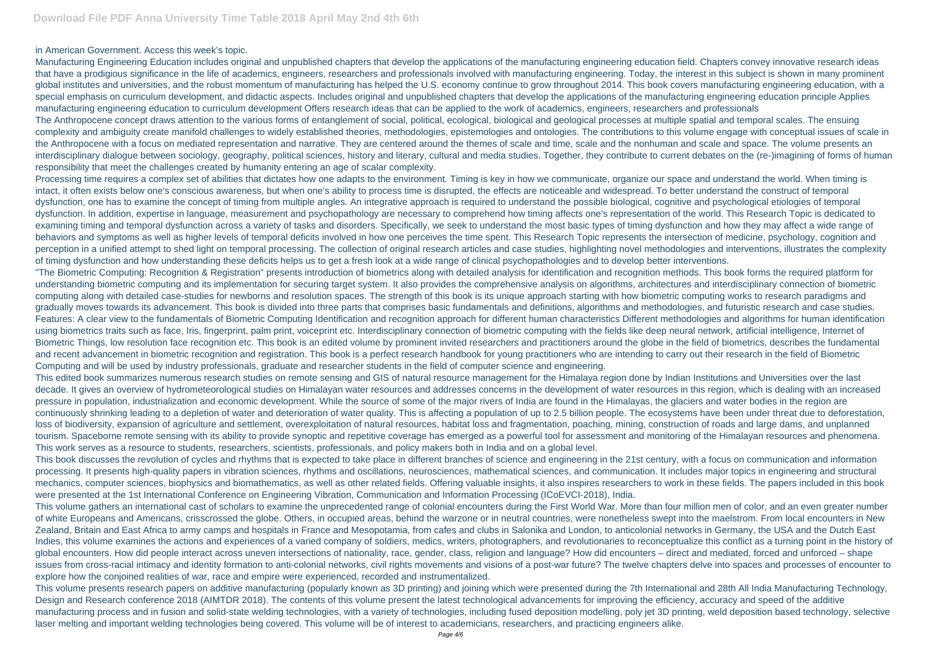in American Government. Access this week's topic.

Manufacturing Engineering Education includes original and unpublished chapters that develop the applications of the manufacturing engineering education field. Chapters convey innovative research ideas that have a prodigious significance in the life of academics, engineers, researchers and professionals involved with manufacturing engineering. Today, the interest in this subject is shown in many prominent global institutes and universities, and the robust momentum of manufacturing has helped the U.S. economy continue to grow throughout 2014. This book covers manufacturing engineering education, with a special emphasis on curriculum development, and didactic aspects. Includes original and unpublished chapters that develop the applications of the manufacturing engineering education principle Applies manufacturing engineering education to curriculum development Offers research ideas that can be applied to the work of academics, engineers, researchers and professionals The Anthropocene concept draws attention to the various forms of entanglement of social, political, ecological, biological and geological processes at multiple spatial and temporal scales. The ensuing complexity and ambiguity create manifold challenges to widely established theories, methodologies, epistemologies and ontologies. The contributions to this volume engage with conceptual issues of scale in the Anthropocene with a focus on mediated representation and narrative. They are centered around the themes of scale and time, scale and the nonhuman and scale and space. The volume presents an interdisciplinary dialogue between sociology, geography, political sciences, history and literary, cultural and media studies. Together, they contribute to current debates on the (re-)imagining of forms of human responsibility that meet the challenges created by humanity entering an age of scalar complexity.

Processing time requires a complex set of abilities that dictates how one adapts to the environment. Timing is key in how we communicate, organize our space and understand the world. When timing is intact, it often exists below one's conscious awareness, but when one's ability to process time is disrupted, the effects are noticeable and widespread. To better understand the construct of temporal dysfunction, one has to examine the concept of timing from multiple angles. An integrative approach is required to understand the possible biological, cognitive and psychological etiologies of temporal dysfunction. In addition, expertise in language, measurement and psychopathology are necessary to comprehend how timing affects one's representation of the world. This Research Topic is dedicated to examining timing and temporal dysfunction across a variety of tasks and disorders. Specifically, we seek to understand the most basic types of timing dysfunction and how they may affect a wide range of behaviors and symptoms as well as higher levels of temporal deficits involved in how one perceives the time spent. This Research Topic represents the intersection of medicine, psychology, cognition and perception in a unified attempt to shed light on temporal processing. The collection of original research articles and case studies, highlighting novel methodologies and interventions, illustrates the complexity of timing dysfunction and how understanding these deficits helps us to get a fresh look at a wide range of clinical psychopathologies and to develop better interventions. "The Biometric Computing: Recognition & Registration" presents introduction of biometrics along with detailed analysis for identification and recognition methods. This book forms the required platform for understanding biometric computing and its implementation for securing target system. It also provides the comprehensive analysis on algorithms, architectures and interdisciplinary connection of biometric computing along with detailed case-studies for newborns and resolution spaces. The strength of this book is its unique approach starting with how biometric computing works to research paradigms and gradually moves towards its advancement. This book is divided into three parts that comprises basic fundamentals and definitions, algorithms and methodologies, and futuristic research and case studies. Features: A clear view to the fundamentals of Biometric Computing Identification and recognition approach for different human characteristics Different methodologies and algorithms for human identification using biometrics traits such as face, Iris, fingerprint, palm print, voiceprint etc. Interdisciplinary connection of biometric computing with the fields like deep neural network, artificial intelligence, Internet of Biometric Things, low resolution face recognition etc. This book is an edited volume by prominent invited researchers and practitioners around the globe in the field of biometrics, describes the fundamental and recent advancement in biometric recognition and registration. This book is a perfect research handbook for young practitioners who are intending to carry out their research in the field of Biometric Computing and will be used by industry professionals, graduate and researcher students in the field of computer science and engineering.

This edited book summarizes numerous research studies on remote sensing and GIS of natural resource management for the Himalaya region done by Indian Institutions and Universities over the last decade. It gives an overview of hydrometeorological studies on Himalayan water resources and addresses concerns in the development of water resources in this region, which is dealing with an increased pressure in population, industrialization and economic development. While the source of some of the major rivers of India are found in the Himalayas, the glaciers and water bodies in the region are continuously shrinking leading to a depletion of water and deterioration of water quality. This is affecting a population of up to 2.5 billion people. The ecosystems have been under threat due to deforestation, loss of biodiversity, expansion of agriculture and settlement, overexploitation of natural resources, habitat loss and fragmentation, poaching, mining, construction of roads and large dams, and unplanned tourism. Spaceborne remote sensing with its ability to provide synoptic and repetitive coverage has emerged as a powerful tool for assessment and monitoring of the Himalayan resources and phenomena. This work serves as a resource to students, researchers, scientists, professionals, and policy makers both in India and on a global level.

This book discusses the revolution of cycles and rhythms that is expected to take place in different branches of science and engineering in the 21st century, with a focus on communication and information processing. It presents high-quality papers in vibration sciences, rhythms and oscillations, neurosciences, mathematical sciences, and communication. It includes major topics in engineering and structural mechanics, computer sciences, biophysics and biomathematics, as well as other related fields. Offering valuable insights, it also inspires researchers to work in these fields. The papers included in this book were presented at the 1st International Conference on Engineering Vibration, Communication and Information Processing (ICoEVCI-2018), India.

This volume gathers an international cast of scholars to examine the unprecedented range of colonial encounters during the First World War. More than four million men of color, and an even greater number of white Europeans and Americans, crisscrossed the globe. Others, in occupied areas, behind the warzone or in neutral countries, were nonetheless swept into the maelstrom. From local encounters in New Zealand, Britain and East Africa to army camps and hospitals in France and Mesopotamia, from cafes and clubs in Salonika and London, to anticolonial networks in Germany, the USA and the Dutch East Indies, this volume examines the actions and experiences of a varied company of soldiers, medics, writers, photographers, and revolutionaries to reconceptualize this conflict as a turning point in the history of global encounters. How did people interact across uneven intersections of nationality, race, gender, class, religion and language? How did encounters – direct and mediated, forced and unforced – shape issues from cross-racial intimacy and identity formation to anti-colonial networks, civil rights movements and visions of a post-war future? The twelve chapters delve into spaces and processes of encounter to explore how the conjoined realities of war, race and empire were experienced, recorded and instrumentalized.

This volume presents research papers on additive manufacturing (popularly known as 3D printing) and joining which were presented during the 7th International and 28th All India Manufacturing Technology, Design and Research conference 2018 (AIMTDR 2018). The contents of this volume present the latest technological advancements for improving the efficiency, accuracy and speed of the additive manufacturing process and in fusion and solid-state welding technologies, with a variety of technologies, including fused deposition modelling, poly jet 3D printing, weld deposition based technology, selective laser melting and important welding technologies being covered. This volume will be of interest to academicians, researchers, and practicing engineers alike.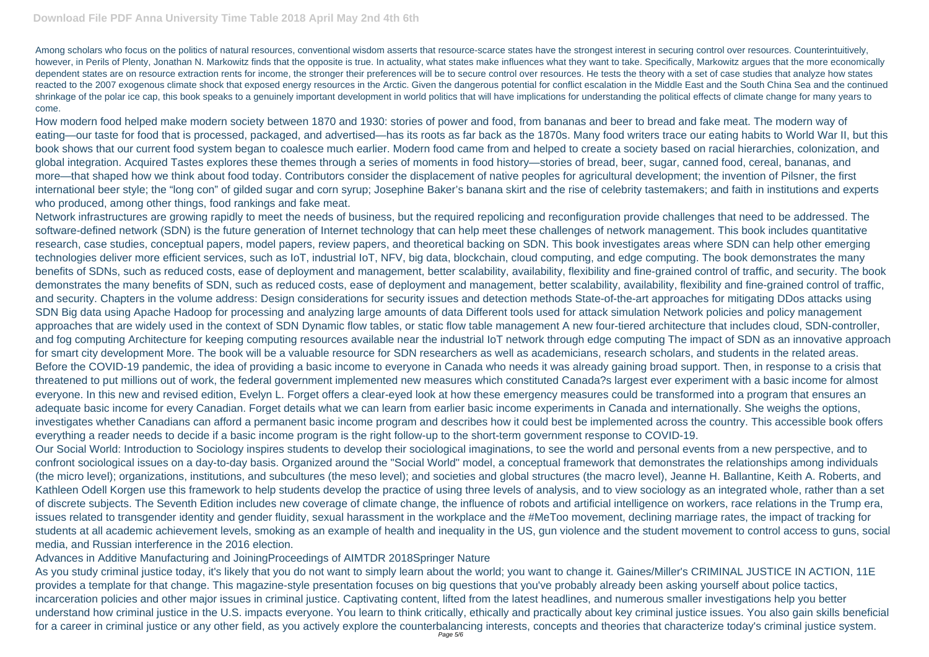Among scholars who focus on the politics of natural resources, conventional wisdom asserts that resource-scarce states have the strongest interest in securing control over resources. Counterintuitively, however, in Perils of Plenty, Jonathan N. Markowitz finds that the opposite is true. In actuality, what states make influences what they want to take. Specifically, Markowitz argues that the more economically dependent states are on resource extraction rents for income, the stronger their preferences will be to secure control over resources. He tests the theory with a set of case studies that analyze how states reacted to the 2007 exogenous climate shock that exposed energy resources in the Arctic. Given the dangerous potential for conflict escalation in the Middle East and the South China Sea and the continued shrinkage of the polar ice cap, this book speaks to a genuinely important development in world politics that will have implications for understanding the political effects of climate change for many years to come.

How modern food helped make modern society between 1870 and 1930: stories of power and food, from bananas and beer to bread and fake meat. The modern way of eating—our taste for food that is processed, packaged, and advertised—has its roots as far back as the 1870s. Many food writers trace our eating habits to World War II, but this book shows that our current food system began to coalesce much earlier. Modern food came from and helped to create a society based on racial hierarchies, colonization, and global integration. Acquired Tastes explores these themes through a series of moments in food history—stories of bread, beer, sugar, canned food, cereal, bananas, and more—that shaped how we think about food today. Contributors consider the displacement of native peoples for agricultural development; the invention of Pilsner, the first international beer style; the "long con" of gilded sugar and corn syrup; Josephine Baker's banana skirt and the rise of celebrity tastemakers; and faith in institutions and experts who produced, among other things, food rankings and fake meat.

Network infrastructures are growing rapidly to meet the needs of business, but the required repolicing and reconfiguration provide challenges that need to be addressed. The software-defined network (SDN) is the future generation of Internet technology that can help meet these challenges of network management. This book includes quantitative research, case studies, conceptual papers, model papers, review papers, and theoretical backing on SDN. This book investigates areas where SDN can help other emerging technologies deliver more efficient services, such as IoT, industrial IoT, NFV, big data, blockchain, cloud computing, and edge computing. The book demonstrates the many benefits of SDNs, such as reduced costs, ease of deployment and management, better scalability, availability, flexibility and fine-grained control of traffic, and security. The book demonstrates the many benefits of SDN, such as reduced costs, ease of deployment and management, better scalability, availability, flexibility and fine-grained control of traffic, and security. Chapters in the volume address: Design considerations for security issues and detection methods State-of-the-art approaches for mitigating DDos attacks using SDN Big data using Apache Hadoop for processing and analyzing large amounts of data Different tools used for attack simulation Network policies and policy management approaches that are widely used in the context of SDN Dynamic flow tables, or static flow table management A new four-tiered architecture that includes cloud, SDN-controller, and fog computing Architecture for keeping computing resources available near the industrial IoT network through edge computing The impact of SDN as an innovative approach for smart city development More. The book will be a valuable resource for SDN researchers as well as academicians, research scholars, and students in the related areas. Before the COVID-19 pandemic, the idea of providing a basic income to everyone in Canada who needs it was already gaining broad support. Then, in response to a crisis that threatened to put millions out of work, the federal government implemented new measures which constituted Canada?s largest ever experiment with a basic income for almost everyone. In this new and revised edition, Evelyn L. Forget offers a clear-eyed look at how these emergency measures could be transformed into a program that ensures an adequate basic income for every Canadian. Forget details what we can learn from earlier basic income experiments in Canada and internationally. She weighs the options, investigates whether Canadians can afford a permanent basic income program and describes how it could best be implemented across the country. This accessible book offers everything a reader needs to decide if a basic income program is the right follow-up to the short-term government response to COVID-19. Our Social World: Introduction to Sociology inspires students to develop their sociological imaginations, to see the world and personal events from a new perspective, and to confront sociological issues on a day-to-day basis. Organized around the "Social World" model, a conceptual framework that demonstrates the relationships among individuals (the micro level); organizations, institutions, and subcultures (the meso level); and societies and global structures (the macro level), Jeanne H. Ballantine, Keith A. Roberts, and Kathleen Odell Korgen use this framework to help students develop the practice of using three levels of analysis, and to view sociology as an integrated whole, rather than a set of discrete subjects. The Seventh Edition includes new coverage of climate change, the influence of robots and artificial intelligence on workers, race relations in the Trump era, issues related to transgender identity and gender fluidity, sexual harassment in the workplace and the #MeToo movement, declining marriage rates, the impact of tracking for students at all academic achievement levels, smoking as an example of health and inequality in the US, gun violence and the student movement to control access to guns, social media, and Russian interference in the 2016 election.

Advances in Additive Manufacturing and JoiningProceedings of AIMTDR 2018Springer Nature

As you study criminal justice today, it's likely that you do not want to simply learn about the world; you want to change it. Gaines/Miller's CRIMINAL JUSTICE IN ACTION, 11E provides a template for that change. This magazine-style presentation focuses on big questions that you've probably already been asking yourself about police tactics, incarceration policies and other major issues in criminal justice. Captivating content, lifted from the latest headlines, and numerous smaller investigations help you better understand how criminal justice in the U.S. impacts everyone. You learn to think critically, ethically and practically about key criminal justice issues. You also gain skills beneficial for a career in criminal justice or any other field, as you actively explore the counterbalancing interests, concepts and theories that characterize today's criminal justice system.